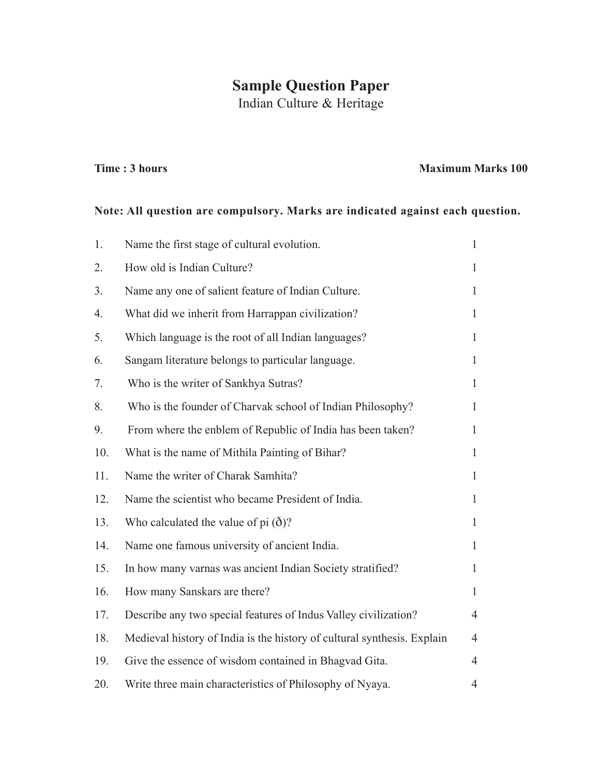## **Sample Question Paper**

Indian Culture & Heritage

## **Time : 3 hours Maximum Marks 100**

## **Note: All question are compulsory. Marks are indicated against each question.**

| 1.  | Name the first stage of cultural evolution.                             | $\mathbf{1}$   |
|-----|-------------------------------------------------------------------------|----------------|
| 2.  | How old is Indian Culture?                                              | $\mathbf{1}$   |
| 3.  | Name any one of salient feature of Indian Culture.                      | $\mathbf{1}$   |
| 4.  | What did we inherit from Harrappan civilization?                        | $\mathbf{1}$   |
| 5.  | Which language is the root of all Indian languages?                     | $\mathbf{1}$   |
| 6.  | Sangam literature belongs to particular language.                       | $\mathbf{1}$   |
| 7.  | Who is the writer of Sankhya Sutras?                                    | $\mathbf{1}$   |
| 8.  | Who is the founder of Charvak school of Indian Philosophy?              | $\mathbf{1}$   |
| 9.  | From where the enblem of Republic of India has been taken?              | $\mathbf{1}$   |
| 10. | What is the name of Mithila Painting of Bihar?                          | $\mathbf{1}$   |
| 11. | Name the writer of Charak Samhita?                                      | $\mathbf{1}$   |
| 12. | Name the scientist who became President of India.                       | $\mathbf{1}$   |
| 13. | Who calculated the value of pi $(\delta)$ ?                             | $\mathbf{1}$   |
| 14. | Name one famous university of ancient India.                            | $\mathbf{1}$   |
| 15. | In how many varnas was ancient Indian Society stratified?               | $\mathbf{1}$   |
| 16. | How many Sanskars are there?                                            | $\mathbf{1}$   |
| 17. | Describe any two special features of Indus Valley civilization?         | $\overline{4}$ |
| 18. | Medieval history of India is the history of cultural synthesis. Explain | $\overline{4}$ |
| 19. | Give the essence of wisdom contained in Bhagvad Gita.                   | $\overline{4}$ |
| 20. | Write three main characteristics of Philosophy of Nyaya.                | 4              |